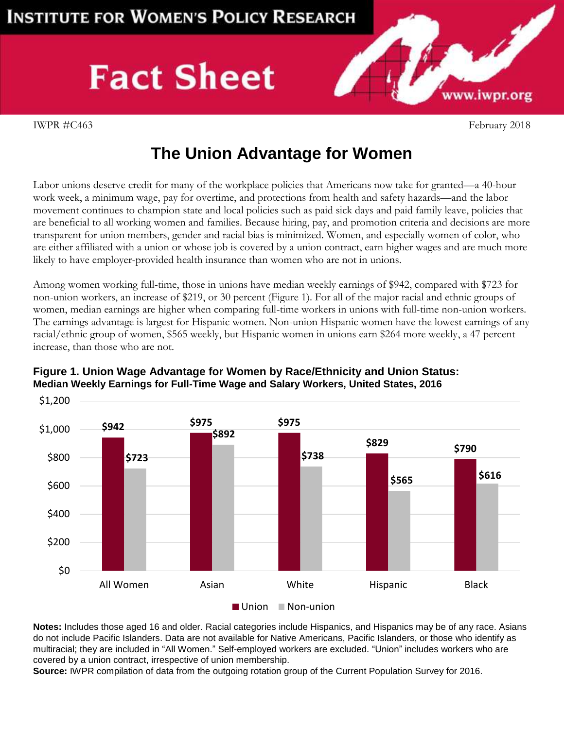## **Fact Sheet**

www.iwpr.org

**Strategic** 

## **The Union Advantage for Women**

Labor unions deserve credit for many of the workplace policies that Americans now take for granted—a 40-hour work week, a minimum wage, pay for overtime, and protections from health and safety hazards—and the labor movement continues to champion state and local policies such as paid sick days and paid family leave, policies that are beneficial to all working women and families. Because hiring, pay, and promotion criteria and decisions are more transparent for union members, gender and racial bias is minimized. Women, and especially women of color, who are either affiliated with a union or whose job is covered by a union contract, earn higher wages and are much more likely to have employer-provided health insurance than women who are not in unions.

Among women working full-time, those in unions have median weekly earnings of \$942, compared with \$723 for non-union workers, an increase of \$219, or 30 percent (Figure 1). For all of the major racial and ethnic groups of women, median earnings are higher when comparing full-time workers in unions with full-time non-union workers. The earnings advantage is largest for Hispanic women. Non-union Hispanic women have the lowest earnings of any racial/ethnic group of women, \$565 weekly, but Hispanic women in unions earn \$264 more weekly, a 47 percent increase, than those who are not.



## **Figure 1. Union Wage Advantage for Women by Race/Ethnicity and Union Status: Median Weekly Earnings for Full-Time Wage and Salary Workers, United States, 2016**

Union Non-union

**Notes:** Includes those aged 16 and older. Racial categories include Hispanics, and Hispanics may be of any race. Asians do not include Pacific Islanders. Data are not available for Native Americans, Pacific Islanders, or those who identify as multiracial; they are included in "All Women." Self-employed workers are excluded. "Union" includes workers who are covered by a union contract, irrespective of union membership.

**Source:** IWPR compilation of data from the outgoing rotation group of the Current Population Survey for 2016.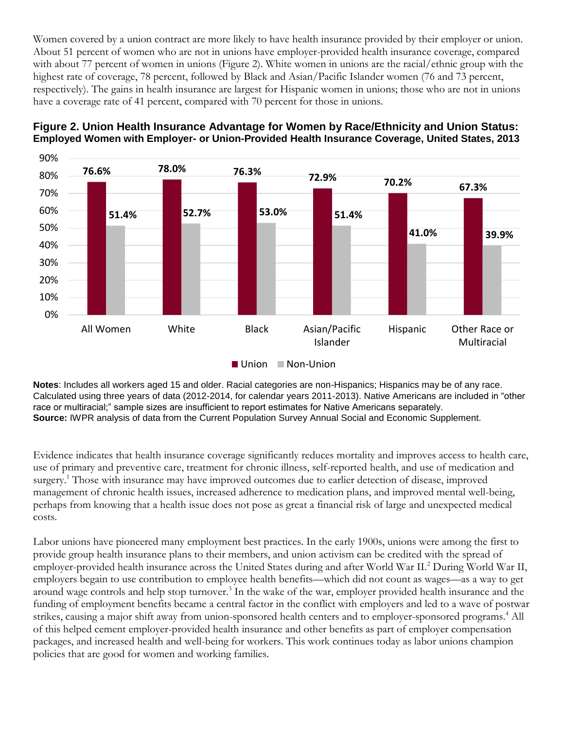Women covered by a union contract are more likely to have health insurance provided by their employer or union. About 51 percent of women who are not in unions have employer-provided health insurance coverage, compared with about 77 percent of women in unions (Figure 2). White women in unions are the racial/ethnic group with the highest rate of coverage, 78 percent, followed by Black and Asian/Pacific Islander women (76 and 73 percent, respectively). The gains in health insurance are largest for Hispanic women in unions; those who are not in unions have a coverage rate of 41 percent, compared with 70 percent for those in unions.





**Notes**: Includes all workers aged 15 and older. Racial categories are non-Hispanics; Hispanics may be of any race. Calculated using three years of data (2012-2014, for calendar years 2011-2013). Native Americans are included in "other race or multiracial;" sample sizes are insufficient to report estimates for Native Americans separately. **Source:** IWPR analysis of data from the Current Population Survey Annual Social and Economic Supplement.

Evidence indicates that health insurance coverage significantly reduces mortality and improves access to health care, use of primary and preventive care, treatment for chronic illness, self-reported health, and use of medication and surgery.<sup>1</sup> Those with insurance may have improved outcomes due to earlier detection of disease, improved management of chronic health issues, increased adherence to medication plans, and improved mental well-being, perhaps from knowing that a health issue does not pose as great a financial risk of large and unexpected medical costs.

Labor unions have pioneered many employment best practices. In the early 1900s, unions were among the first to provide group health insurance plans to their members, and union activism can be credited with the spread of employer-provided health insurance across the United States during and after World War II.<sup>2</sup> During World War II, employers begain to use contribution to employee health benefits—which did not count as wages—as a way to get around wage controls and help stop turnover.<sup>3</sup> In the wake of the war, employer provided health insurance and the funding of employment benefits became a central factor in the conflict with employers and led to a wave of postwar strikes, causing a major shift away from union-sponsored health centers and to employer-sponsored programs.<sup>4</sup> All of this helped cement employer-provided health insurance and other benefits as part of employer compensation packages, and increased health and well-being for workers. This work continues today as labor unions champion policies that are good for women and working families.